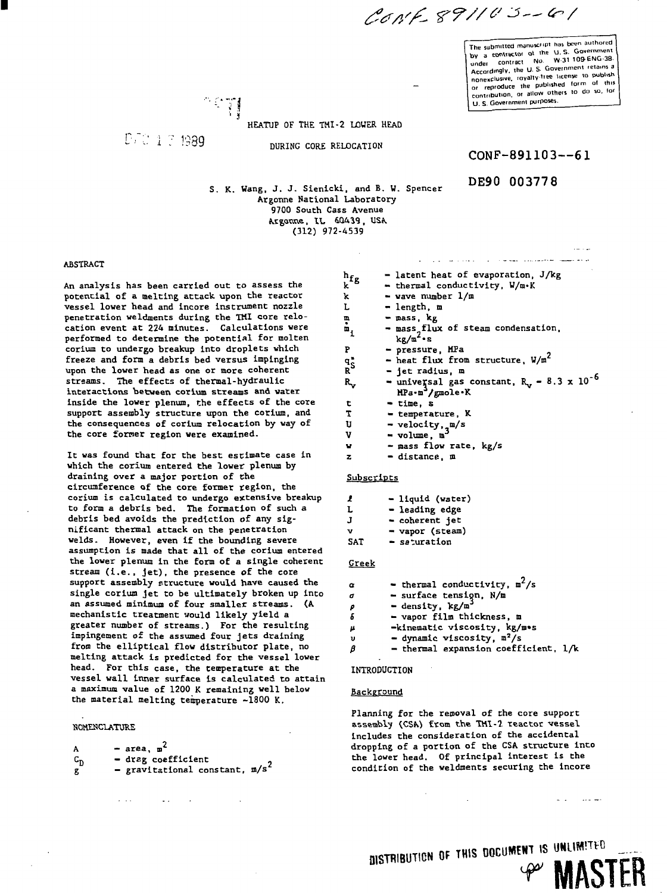CONF 891103-61

**The submitted manuscript has been authored by** a contractor of the U.S. Government<br>
under contract No. W 31 109-6NG-3B.<br> **Accordingly, the U.S. Government retains a** nonexclusive, royalty-free license to publish **or reproduce the published form ol this contribution, or allow others to do so. lor U. S. Governmenl purposes.**

HEATUP OF THE THI-2 LOUER HEAD

P/0 1 3 1989

DURING CORE RELOCATION

CONF-891103--61

DE90 003778

S. K. Wang, J. J. Sienicki, and B. W. Spencer Argonne National Laboratory 9700 South Cass Avenue Argonne, IL 60439, USA (312) 972-4539

### **ABSTRACT**

**An analysis has been carried out to assess the potentia l of a melting attack upon the reactor vesse l lower head and incore instrument nozzle penetration weldments during the TH1 core relo**cation event at 224 minutes. Calculations were performed to determine the potential for molten **corium to undergo breakup into droplets which freeze and form a debris bed versus impinging upon the lower head as one or more coherent streams. The effects of thermal-hydraulic interactions between corium streams and vater inside the lower plenum, the effects of the core support assembly structure upon the corium, and** the consequences of corium relocation by way of the core former region were examined.

It was found that for the best estimate case in **which the corium entered the lower plenum by draining over a major portion of the circumference of the core former region, the** corium is calculated to undergo extensive breakup **to form a debris bed. The formation of such a debris bed avoids the prediction of any sig nificant thermal attack on the penetration welds. However, even if the bounding severe** assumption is made that all of the corium entered the lower plenum in the form of a single coherent **stream (i.e. , jet) , the presence of the core support assembly structure would have caused the singl e corium je t to be ultimatel y broken up into** an assumed minimum of four smaller streams. (A **mechanistic treatment would likel y yiel d a greater number of streams.) For the resulting** impingement of the assumed four jets draining **from the elliptical flow distributor plate, no melting attack is predicted for the vessel lower head. For this case, the temperature at the vessel wall Inner surface Is calculated to attain a maximum value of 1200 K remaining well below the material melting temperature -1800 K.**

#### **HOME8CLATURE**

 $\mathcal{L}^{\pm}$  and  $\mathcal{L}^{\pm}$ 

| А       | $-$ area, $\mathbf{m}^2$          |
|---------|-----------------------------------|
| $c_{n}$ | - drag coefficient                |
| g       | - gravitational constant, $m/s^2$ |

شوا فاحتصابتها ووسعاء الارداد والمتاب ساداويا  $\mathbf{h_{fg}}$  $-$  latent heat of evaporation,  $J/kg$ - thermal conductivity, U/m»K k - wave number 1/m k L - length, m m - mass, kg  $\dot{m}_1$ = mass\_flux of steam condensation<br>kg/m<sup>2</sup>·s p - pressure, MPa - heat flux from structure,  $V/m^2$ qj - jet radius, m R  $-$  universal gas constant, R<sub>1</sub> - 8.3 x 10<sup>-6</sup> R<sub>v</sub>  $MPa \cdot m^3/gmole \cdot K$ t - time, s T - temperature, K U - velocity, m/s V — volume, m — mass flow rate, kg/s w

z - distance, m

**Subscripts** 

| 1          | - liquid (water) |
|------------|------------------|
| L          | - leading edge   |
| J.         | - coherent jet   |
| v          | - vapor (steam)  |
| <b>SAT</b> | - saturation     |

## Greek

| $\alpha$ | - thermal conductivity, $m^2/s$      |
|----------|--------------------------------------|
| σ        | - surface tension, N/m               |
| ρ        | - density, kg/m <sup>3</sup>         |
| 5        | - vapor film thickness, m            |
| μ        | -kinematic viscosity, kg/m*s         |
| ູນ       | $=$ dynamic viscosity, $m^2/s$       |
|          | - thermal expansion coefficient, 1/k |

INTRODUCTION

#### **Background**

Planning for the removal of the core support assembly (CSA) from the TMI-2 reactor vessel includes the consideration of the accidental dropping of a portion of the CSA structure into the lower head. Of principal interest Is the condition of the weldments securing the incore

بالدارين

**DISTRIBUTION OF THIS DOCUMENT IS UNLIMITED**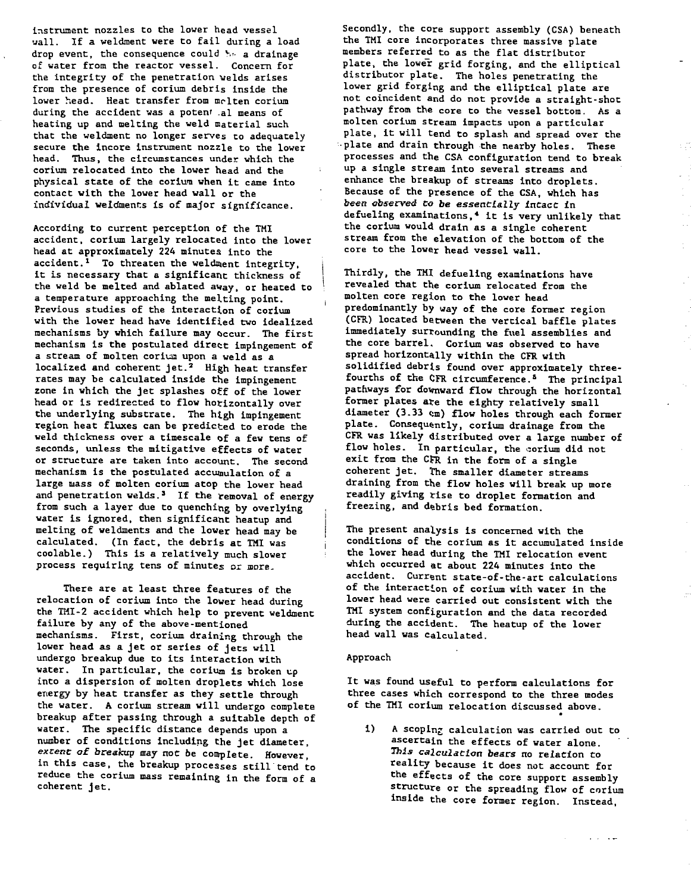instrument nozzles to the lower head vessel uall. If a weldment were to fail during a load drop event, the consequence could  $\frac{1}{2}$  a drainage of water from the reactor vessel. Concern for the integrity of the penetration welds arises from the presence of corium debris inside the lower head. Heat transfer from melten corium during the accident was a poten' .al means of heating up and melting the weld material such that the weldment no longer serves to adequately secure the incore instrument nozzle to the lower head. Thus, the circumstances under which the corium relocated into the lower head and the • physical state of the corium when it came into contact with the lower head wall or the individual weldmenr.s is of major significance.

According to current perception of the TM1 accident, corium largely relocated into the lower head at approximately 224 minutes into the accident.<sup>1</sup> To threaten the weldment integrity, it is necessary that a significant thickness of the weld be melted and ablated away, or heated to a temperature approaching the melting point. Previous studies of the interaction of corium with the lower head have identified two idealized mechanisms by which failure may occur. The first mechanism is the postulated direct impingement of a stream of molten coriun upon a weld as a localized and coherent jet.<sup>2</sup> High heat transfer rates may be calculated inside the impingement zone in which the jet splashes off of the lower head or is redirected to flow horizontally over the underlying substrate. The high impingement region heat fluxes can be predicted to erode the weld thickness over a timescale of a few tens of seconds, unless the mitigative effects of water or structure are taken into account. The second mechanism is the postulated accumulation of a large mass of molten corium atop the lower head and penetration welds.<sup>3</sup> If the removal of energy from such a layer due to quenching by overlying water is ignored, then significant heatup and melting of weldments and the lower head may be calculated. (In fact, the debris at TMI was coolable.) This is a relatively much slower process requiring tens of minutes or more.

There are at least three features of the relocation of corium into the lower head during the THI-2 accident which help to prevent weldment failure by any of the above-mentioned mechanisms. First, corium draining through the lower head as a jet or series of jets will undergo breakup due to its interaction with water. In particular, the corium is broken up into a dispersion of molten droplets which lose energy by heat transfer as they settle through the water. A corium stream will undergo complete breakup after passing through a suitable depth of water. The specific distance depends upon a number of conditions including the jet diameter, extent of breakup may not be complete. However, in this case, the breakup processes still tend to reduce the corium mass remaining in the form of a coherent jet.

Secondly, the core support assembly (CSA) beneath the THI core incorporates three massive plate members referred to as the flat distributor plate, the lower grid forging, and the elliptical distributor plate. The holes penetrating the lower grid forging and the elliptical plate are not coincident and do not provide a straight-shot pathway from the core to the vessel bottom. As a molten corium stream impacts upon a particular plate, it will tend to splash and spread over the •plate and drain through the nearby holes. These processes and the CSA configuration tend to break up a single stream into several streams and enhance the breakup of streams into droplets. Because of the presence of the CSA, which has been observed Co be essentially incact in defueling examinations,\* it is very unlikely that the corium would drain as a single coherent stream from the elevation of the bottom of the core to the lower head vessel wall.

Thirdly, the TMI defueling examinations have revealed that the corium relocated from the molten core region to the lower head predominantly by way of the core former region (CFR) located between the vertical baffle plates immediately surrounding the fuel assemblies and the core barrel. Corium was observed to have spread horizontally within the CFR with solidified debrts found over approximately threefourths of the CFR circumference.<sup>8</sup> The principal pathways for downward flow through the horizontal former plates ate the eighty relatively small diameter (3.33 cm) flow holes through each former plate. Consequently, corium drainage from the CFR was likely distributed over a large number of flow holes. In particular, the corium did not exit from the CFR in the form of a single coherent jet. The smaller diameter streams draining from the flow holes will break up more readily giving rise to droplet formation and freezing, and debris bed formation.

The present analysis is concerned with the conditions of the corium as it accumulated inside the lower head during the THI relocation event which occurred at about 224 minutes into the accident. Current state-of-the-art calculations of the interaction of corium with water in the lower head were carried out consistent with the THI system configuration and the data recorded during the accident. The heatup of the lower head wall was calculated.

#### Approach

It was found useful to perform calculations for three cases which correspond to the three modes of the TMI corium relocation discussed above.

i) A scoping calculation was carried out to ascertain the effects of water alone. This calculation bears no relation to reality because it does not account for the effects of the core support assembly structure or the spreading flow of corium inside the core former region. Instead,

and the same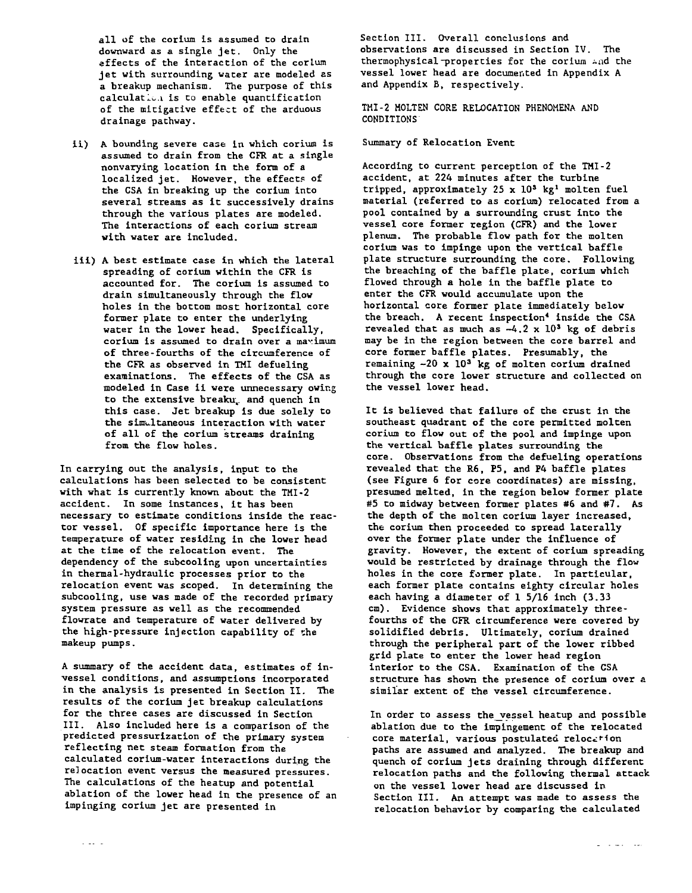all of the corium is assumed to drain downward as a single jet. Only the effects of the interaction of the corlum jet with surrounding water are modeled as a breakup mechanism. The purpose of this calculation is to enable quantification of the mitigative effect of the arduous drainage pathway.

- ii) A bounding severe case in which corium is assumed to drain from the CFR at a single nonvarying location in the form of a localized jet. However, the effects of the CSA in breaking up the corium into several streams as it successively drains through the various plates are modeled. The interactions of each corium stream with water are included.
- iii) A best estimate case in which the lateral spreading of corium within the CFR is accounted for. The corium is assumed to drain simultaneously through the flow holes in the bottom most horizontal core former plate to enter the underlying water in the lower head. Specifically, corium is assumed to drain over a maximum of three-fourths of the circumference of the CFR as observed in TMI defueling examinations. The effects of the CSA as modeled in Case ii were unnecessary owing to the extensive breakup and quench in this case. Jet breakup is due solely to the simultaneous interaction with water of all of the corium streams draining from the flow holes.

In carrying out the analysis, input to the calculations has been selected to be consistent with what is currently known about the TMI-2 accident. In some instances, it has been necessary to estimate conditions inside the reactor vessel. Of specific importance here is the temperature of water residing in the lower head at the time of the relocation event. The dependency of the subcooling upon uncertainties in thermal-hydraulic processes prior to the relocation event was scoped. In determining the subcooling, use was made of the recorded primary system pressure as well as the recommended flowrate and temperature of water delivered by the high-pressure injection capability of the makeup pumps.

A summary of the accident data, estimates of invessel conditions, and assumptions incorporated in the analysis is presented in Section II. The results of the corium jet breakup calculations for the three cases are discussed in Section III. Also included here is a comparison of the predicted pressurization of the primary system reflecting net steam formation from the calculated corium-water interactions during the relocation event versus the measured pressures. The calculations of the heatup and potential ablation of the lower head in the presence of an impinging corium jet are presented in

Section III. Overall conclusions and observations are discussed in Section IV. The thermophysical-properties for the corium and the vessel lower head are documented in Appendix A and Appendix B, respectively.

TMI-2 MOLTEN CORE RELOCATION PHENOMENA AND CONDITIONS

#### Summary of Relocation Event

According to current perception of the TMI-2 accident, at 224 minutes after the turbine tripped, approximately  $25 \times 10^3$  kg<sup>1</sup> molten fuel material (referred to as corium) relocated from a pool contained by a surrounding crust into the vessel core former region (CFR) and the lower plenum. The probable flow path for the molten corium was to impinge upon the vertical baffle plate structure surrounding the core. Following the breaching of the baffle plate, corium which flowed through a hole in the baffle plate to enter the CFR would accumulate upon the horizontal core former plate immediately below the breach. A recent inspection<sup>4</sup> inside the CSA revealed that as much as  $-4.2 \times 10^3$  kg of debris may be in the region between the core barrel and core former baffle plates. Presumably, the remaining -20 x 10<sup>3</sup> kg of molten corium drained through the core lower structure and collected on the vessel lower head.

It is believed that failure of the crust in the southeast quadrant of the core permitted molten corium to flow out of the pool and Impinge upon the vertical baffle plates surrounding the core. Observations from the defueling operations revealed that the R6, P5, and P4 baffle plates (see Figure 6 for core coordinates) are missing, presumed melted, In the region below former plate #5 to midway between former plates #6 and #7. As the depth of the molten corium layer increased, the corium then proceeded to spread laterally over the former plate under the influence of gravity. However, the extent of corium spreading would be restricted by drainage through the flow holes in the core former plate. In particular, each former plate contains eighty circular holes each having a diameter of 1 5/16 inch (3.33 cm). Evidence shows that approximately threefourths of the CFR circumference were covered by solidified debris. Ultimately, corium drained through the peripheral part of the lower ribbed grid plate to enter the lower head region interior to the CSA. Examination of the CSA structure has shown the presence of corium over a similar extent of the vessel circumference.

In order to assess the vessel heatup and possible ablation due to the impingement of the relocated core material, various postulated relocation paths are assumed and analyzed. The breakup and quench of corium jets draining through different relocation paths and the following thermal attack on the vessel lower head are discussed in Section III. An attempt was made to assess the relocation behavior by comparing the calculated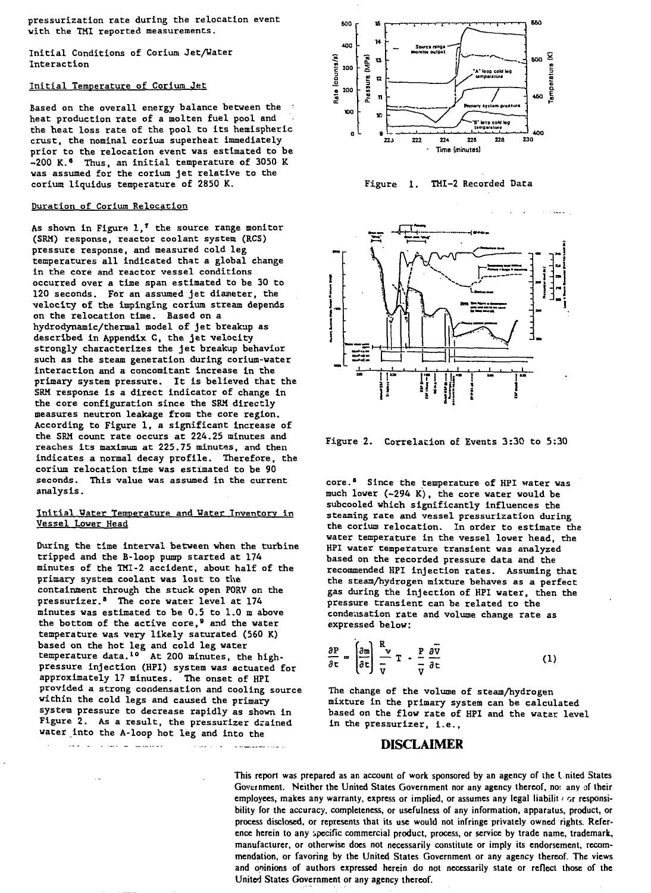pressurization rate during the relocation event with the TMI reported measurements.

Initial Conditions of Corium Jet/Water Interaction

## Initial Temperature of Corium Jet

Based on the overall energy balance between the heat production rate of a molten fuel pool and the heat loss rate of the pool to its hemispheric crust, the nominal corium superheat immediately prior to the relocation event was estimated to be -200 K.» Thus, an initial temperature of 3050 K was assumed for the corium jet relative to the corium liquidus temperature of 2850 K.

### Duration of Corium Relocation

As shown in Figure  $1,^{\dagger}$  the source range monitor (SRH) response, reactor coolant system (RCS) pressure response, and measured cold leg temperatures all indicated that a global change in the core and reactor vessel conditions occurred over a time span estimated to be 30 to 120 seconds. For an assumed jet diameter, the velocity of the impinging corium stream depends on the relocation time. Based on a hydrodynamic/thermal model of jet breakup as described in Appendix C, the jet velocity strongly characterizes the jet breakup behavior such as the steam generation during corium-water interaction and a concomitant increase in the primary system pressure. It is believed that the SRH response is a direct indicator of change in the core configuration since the SRH directly measures neutron leakage from the core region. According to Figure 1, a significant increase of the SRH count rate occurs ac 224.25 minutes and reaches its maximum at 225.75 minutes, and then indicates a normal decay profile. Therefore, the corium relocation time was estimated to be 90 seconds. This value was assumed in the current analysis.

## Initial Water Temperature and Water Inventory in Vessel Lower Head

During the time interval between when the turbine tripped and the B-loop pump started at 174 minutes of the THI-2 accident, about half of the primary system coolant was lost to the containment through the stuck open FORV on the pressurizer.<sup>8</sup> The core water level at 174 minutes was estimated to be 0.5 to 1.0 m above the bottom of the active core,<sup>9</sup> and the water temperature was very likely saturated (560 K) based on the hot leg and cold leg water temperature data.<sup>10</sup> At 200 minutes, the highpressure injection (HPI) system was actuated for approximately 17 minutes. The onset of HPI provided a strong condensation and cooling source within the cold legs and caused the primary system pressure to decrease rapidly as shown in Figure 2. As a result, the pressurizer drained water into the A-loop hot leg and into the

 $\sim$  . The contract of the contract of the contract of the contract of the contract of the contract of the contract of the contract of the contract of the contract of the contract of the contract of the contract of the co







Figure 2. Correlation of Events 3:30 to 5:30

core.\* Since the temperature of HPI water was much lower (-294 K), the core water would be subcooled which significantly influences the steaming rate and vessel pressurization during the corium relocation. In order to estimate the water temperature in the vessel lower head, the HPI water temperature transient was analyzed based on the recorded pressure data and the recommended HPI injection rates. Assuming that the steam/hydrogen mixture behaves as a perfect gas during the injection of HPI water, then the pressure transient can be related to the condensation rate and volume change rate as expressed below:

$$
\frac{\partial P}{\partial t} \approx \left(\frac{\partial m}{\partial t}\right) \frac{R}{\nu} T - \frac{P}{\nu} \frac{\partial \overline{v}}{\partial t}
$$
 (1)

The change of the volume of steam/hydrogen mixture in the primary system can be calculated based on the flow rate of HPI and the watar level in the pressurizer, i.e.,

# **DISCLAIMER**

**This report was prepared as an account of work sponsored by an agency of the I nited States Government. Neither the United States Government nor any agency thereof, noi any of their** employees, makes any warranty, express or implied, or assumes any legal liabilit  $\epsilon$  or responsi**bility for the accuracy, completeness, or usefulness of any information, apparatus, product, or process disclosed, or represents that its use would not infringe privately owned rights. Reference herein to any specific commercial product, process, or service by trade name, trademark, manufacturer, or otherwise does not necessarily constitute or imply its endorsement, recommendation, or favoring by the United States Government or any agency thereof. The views and opinions of authors expressed herein do not necessarily state or reflect those of the United States Government or any agency thereof.**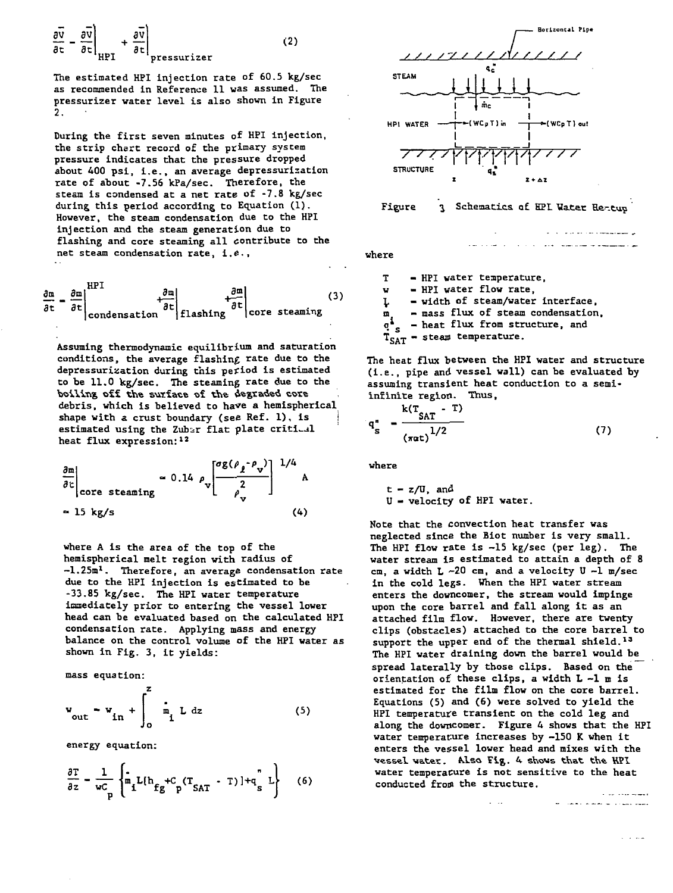The estimated HPI injection rate of 60.5 kg/sec as recommended in Reference 11 was assumed. The pressurizer water level is also shown in Figure 2.

During the first seven minutes of HPI injection, the strip chert record of the primary system pressure indicates that the pressure dropped about 400 psi, i.e., an average depressurization rate of about -7.56 kPa/sec. Therefore, the steam is condensed at a net rate of -7.8 kg/sec during this period according to Equation (1). However, the steam condensation due to the HPI injection and the steam generation due to flashing and core steaming all contribute to the net steam condensation rate, i.e.,

$$
\frac{\partial \mathbf{m}}{\partial \mathbf{t}} = \frac{\partial \mathbf{m}}{\partial \mathbf{t}} \Big|_{\text{condensation}}^{\text{HPI}} + \frac{\partial \mathbf{m}}{\partial \mathbf{t}} \Big|_{\text{flashing}}^{\text{hong}} \Big|_{\text{core streaming}} \tag{3}
$$

**Assuming thermodynamic equilibrium and saturation conditions, the average flashing rate due to the depressurization during this period is estimated to be 11.0 kg/sec. The steaming rate due to the** boiling off the surface of the degraded core **debris, which is believed to have a hemispherical shape with a crust boundary (see Ref. 1), is j estimated using the Zubir flat plate critical heat flux expression:<sup>12</sup>**

$$
\frac{\partial m}{\partial c}\Big|_{\text{core steaming}} \approx 0.14 \rho_v \left[\frac{\sigma g(\rho_{\ell} - \rho_v)}{2}\right]^{1/4} A
$$
  
\approx 15 kg/s (4)

where A is the area of the top of the hemispherical melt region with radius of -1.25m<sup>l</sup>. Therefore, an average condensation rate due to the HPI injection is estimated to be -33.85 kg/sec. The HPI water temperature immediately prior to entering the vessel lower head can be evaluated based on the calculated HPI condensation rate. Applying mass and energy balance on the control volume of the HPI water as shown in Fig. 3, it yields:

mass equation:

**HPI**

$$
w_{\text{out}} = w_{\text{in}} + \int_0^2 \dot{m}_1 \, \text{L dz} \tag{5}
$$

energy equation:

$$
\frac{\partial \mathbf{T}}{\partial z} - \frac{1}{\mathbf{w}_p^c} \left\{ \mathbf{m}_1 \mathbf{L} (\mathbf{h}_{fg} + c_p (\mathbf{T}_{SAT} - \mathbf{T}) + \mathbf{q}_s^T \mathbf{L} \right\} \tag{6}
$$



**where**

T - HPI water temperature, w - HPI water flow rate,

\. - width of steam/water interface,

— mass flux of steam condensation,  $\mathbf{m}$ 

سائب الداري

<sup>1</sup><sub>S</sub> - heat flux from structure, and

**I**<sub>S</sub> = neat liux from stream temperature.

**The heat flux between the HPI water and structure (I.e., pipe and vessel wall) can be evaluated by assuming transient heat conduction to a semiinfinite region. Thus,**

$$
q_s'' = \frac{k(T_{SAT} - T)}{(\pi \alpha t)^{1/2}}
$$
 (7)

where

 $t = z/U$ , and U - velocity of HPI water.

Note that the convection heat transfer was neglected since the Biot number is very small. The HPI flow rate is -15 kg/sec (per leg). The water stream is estimated to attain a depth of 8 cm, a width  $L -20$  cm, and a velocity  $U -1$  m/sec in the cold legs. When the HPI water stream enters the downcomer, the stream would impinge upon the core barrel and fall along it as an attached film flow. However, there are twenty clips (obstacles) attached to the core barrel to support the upper end of the thermal shield.<sup>13</sup> The HPI water draining down the barrel would be spread laterally by those clips. Based on the orientation of these clips, a width L -1 m is estimated for the film flow on the core barrel. Equations (5) and (6) were solved to yield the HPI temperature transient on the cold leg and along the downcomer. Figure 4 shows that the HPI water temperature increases by -150 K when it enters the vessel lower head and mixes with the vessel water. Also Fig. 4 shows that the HPI water temperacure is not sensitive to the heat conducted from the structure.**All of the second second**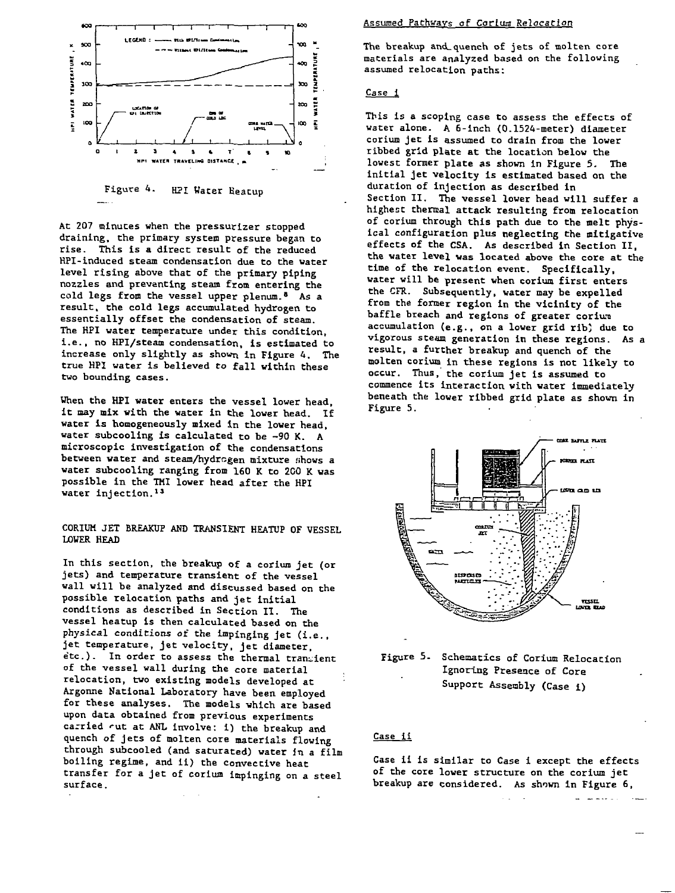

Figure 4. HPI Water Beatup

At 207 minutes when the pressurizer stopped draining, the primary system pressure began to rise. This is a direct result of the reduced HPI-induced steam condensation due to the water level rising above that of the primary piping nozzles and preventing steam from entering the cold legs from the vessel upper plenum.<sup>8</sup> As a result, the cold legs accumulated hydrogen to essentially offset the condensation of steam. The HPI water temperature under this condition, i.e., no HPI/steam condensation, is estimated to increase only slightly as shown in Figure 4. The true HPI water is believed to fall within these two bounding cases.

When the HPI water enters the vessel lower head, it may mix with the water in Che lower head. If water Is homogeneously mixed In the lower head, water subcooling Is calculated to be -90 K. A microscopic investigation of the condensations between water and steam/hydrogen mixture shows a water subcooling ranging from 160 K to 200 K was possible in the TMI lower head after the HPI water injection.<sup>13</sup>

## CORIUM JET BREAKUP AND TRANSIENT HEATUP OF VESSEL LOWER HEAD

In this section, the breakup of a corium jet (or jets) and temperature transient of the vessel wall will be analyzed and discussed based on the possible relocation paths and jet initial conditions as described In Section II. The vessel heatup is then calculated based on the physical conditions of the Impinging jet (i.e., jet temperature, jet velocity, jet diameter, e'cc). In order to assess the thermal transient of the vessel wall during the core material relocation, two existing models developed at Argonne National Laboratory have been employed for these analyses. The models which are based upon data obtained from previous experiments carried rut at ANL involve: i) the breakup and quench of jets of molten core materials flowing through subcooled (and saturated) water In a film boiling regime, and ii) the convective heat transfer for a jet of corium impinging on a steel surface.

#### Assumed Pathways of Corium Relocation

The breakup and\_quench of jets of molten core materials are analyzed based on the following assumed relocation paths:

### Case i

This is a scoptng case to assess the effects of water alone. A 6-Inch (0.1524-meter) diameter corium jet Is assumed to drain from the lower ribbed grid plate at the location below the lowest former plate as shown in Figure 5. The initial jet velocity Is estimated based on the duration of injection as described in Section II. The vessel lower head will suffer a highest thermal attack resulting from relocation of corium through this path due to the melt physical configuration plus neglecting the mitigative effects of the CSA. As described in Section II, the water level was located above the core at the time of the relocation event. Specifically, water will be present when corium first enters the CFR. Subsequently, water may be expelled from the former region In the vicinity of the baffle breach and regions of greater corium accumulation (e.g., on a lower grid rib) due to vigorous steam generation In these regions. As a result, a further breakup and quench of the molten corium in these regions is not likely to occur. Thus, the corium jet Is assumed to commence its interaction with water immediately beneath the lower ribbed grid plate as shown in Figure 5.



Figure 5. Schematics of Corium Relocation Ignoring Presence of Core Support Assembly (Case i)

#### Case ii

Case ii is similar to Case i except the effects of the core lower structure on the corium jet breakup are considered. As shown In Figure 6,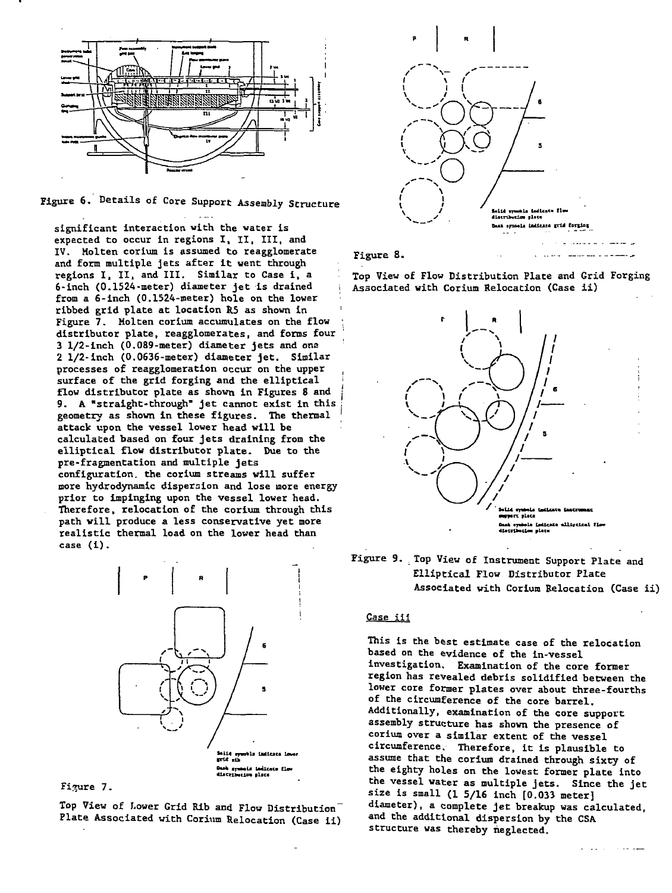

**Figure 6. Details of Core Support Assembly Structure**

**significant interaction with the water is expected to occur in regions I, II, III, and IV. Molten eorium is assumed to reagglomerate and form multiple jets after it went through regions I, IX, and III. Similar to Case i, a 6-inch (0.1524-meter) diameter jet is drained i from a 6-inch (0.1524-meter) hole on the lower ribbed grid plate at location R5 as shown in ' Figure 7. Holten corium accumulates on the flow distributor plate, reagglomerates, and forms four j : 3 1/2-inch (0.089-meter) diameter jets and ons 2 1/2-inch (0.0636-meter) diameter jet. Similar processes of reagglomeration occur on the upper ( surface of the grid forging and the elliptical ; flow distributor plate as shown in Figures 8 and i 9. A "straight-through" jet cannot exist in this ; geometry as shown in these figures. The thermal attack upon the vessel lower head will be calculated based on four jets draining from the elliptical flow distributor plate. Due to the pre-fragmentation and multiple jets configuration, the corium streams will suffer more hydrodynamic dispersion and lose more energy prior to impinging upon the vessel lower head. Therefore, relocation of the corium through this path will produce a less conservative yet more realistic thermal load on the lower head than case (i).**



Figure 7.

**Top View of Lower Grid Rib and Flow Distribution" Plate Associated with Corium Relocation (Case ii)**



Figure 8.

**Top View of Flow Distribution Plate and Grid Forging Associated with Corium Relocation (Case ii)**

في وسيست عام 100 من من من سنة



**Figure 9. Top View of Instrument Support Plate and Elliptical Flow Distributor Plate Associated with Corium Relocation (Case ii)**

## Case iii

**This is the best estimate case of the relocation based on the evidence of the in-vessel investigation. Examination of the core former region has revealed debris solidified between the lower core former plates over about three-fourths of the circumference of the core barrel. Additionally, examination of the core support assembly structure has shown the presence of corium over a similar extent of the vessel circumference. Therefore, it is plausible to assume that the corium drained through sixty of the eighty holes on the lowest former plate into the vessel water as multiple jets. Since the jet size is small (1 5/16 inch [0.033 meter] diameter), a complete jet breakup was calculated, and the additional dispersion by the CSA structure was thereby neglected.**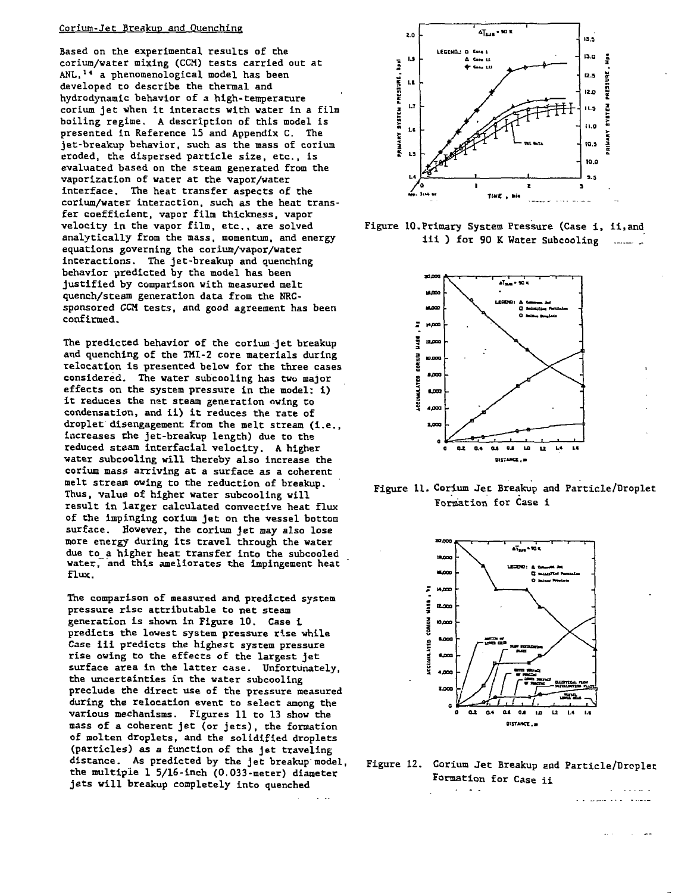## Corium-Jet Breakup and Quenching

Based on the experimental results of the corium/water mixing (CCH) tests carried out at ANL,<sup>1</sup>\* a phenomenological model has been developed to describe the thermal and hydrodynamic behavior of a high-temperature corium jet vhen it interacts with water in a film boiling regime. A description of this model is presented in Reference 15 and Appendix C. The jet-breakup behavior, such as the mass of corium eroded, the dispersed particle size, etc., is evaluated based on the steam generated from the vaporization of water at the vapor/water interface. The heat transfer aspects of the corium/water interaction, such as the heat transfer coefficient, vapor film thickness, vapor velocity in the vapor film, etc., are solved analytically from the mass, momentum, and energy equations governing the corium/vapor/water interactions. The jet-breakup and quenching behavior predicted by the model has been justified by comparison with measured melt quench/steam generation data from the NRCsponsored CCH tests, and good agreement has been confirmed.

The predicted behavior of the corium jet breakup and quenching of the THI-2 core materials during relocation is presented below for the three cases considered. The water subcooling has two major effects on the system pressure in the model: 1) it reduces the nat steam generation owing to condensation, and ii) it reduces the rate of droplet disengagement from the melt stream (i.e., increases the jet-breakup length) due to the reduced steam interfacial velocity. A higher water subcooling will thereby also increase the corium mass arriving at a surface as a coherent melt stream owing to the reduction of breakup. Thus, value of higher water subcooling will result in larger calculated convective heat flux of the impinging corium jet on the vessel bottom surface. However, the corium jet may also lose more energy during its travel through the water due to a higher heat transfer into the subcooled water to a higher heat transfer into the subcooled<br>Water and this ameliorates the impinessed heat =====<br>==…

The comparison of measured and predicted system pressure rise attributable to net steam generation is shown in Figure 10. Case i predicts the lowest system pressure rise while Case ill predicts the highest system pressure rise owing to the effects of the largest jet surface area in the latter case. Unfortunately, the uncertainties in the water subcooling preclude the direct use of the pressure measured during the relocation event to select among the various mechanisms. Figures 11 to 13 show the mass of a coherent jet (or jets), the formation of molten droplets, and the solidified droplets (particles) as a function of the jet traveling distance. As predicted by the jet breakup model, the multiple 1 5/16-inch (0.033-meter) diameter jets will breakup completely into quenched



Figure 10.Primary System Pressure (Case i, ii.and iii ) for 90 K Water Subcooling



Figure 11. Corium Jet Breakup and Particle/Droplet •Formation for Case i



Figure 12. Corium Jet Breakup end Particle/Droplet Formation for Case ii

شوشته التاء والمتفوقون فالد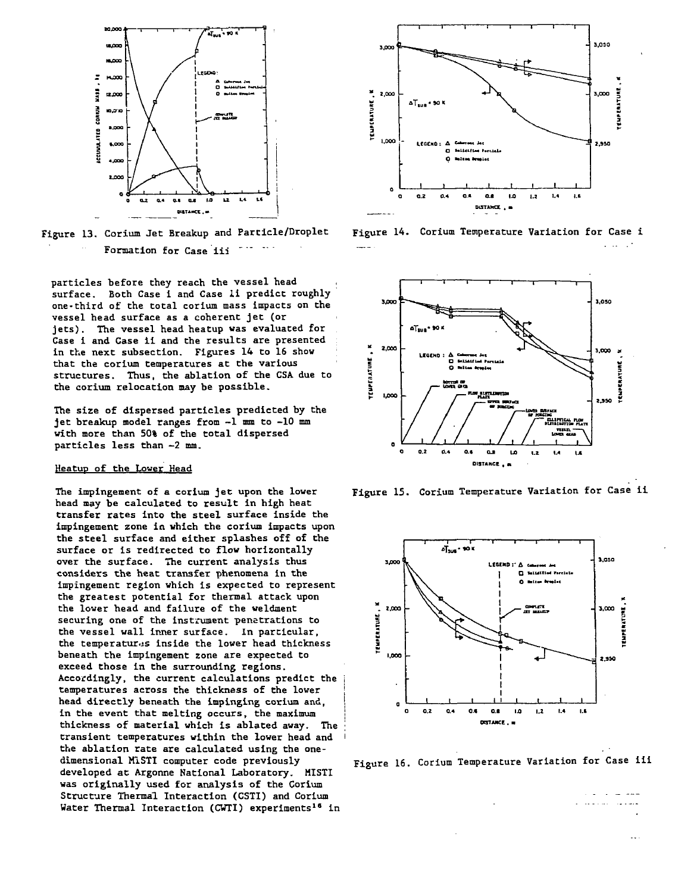

Figure 13. Corium Jet Breakup and Particle/Droplet Formation for Case iii

particles before they reach the vessel head surface. Both Case i and Case li predict roughly one-third of the total corium mass impacts on the vessel head surface as a coherent jet (or jets). The vessel head heatup was evaluated for Case i and Case ii and the results are presented in the next subsection. Figures 14 to 16 show that the corium temperatures at the various structures. Thus, the ablation of the CSA due to the corium relocation may be possible.

The size of dispersed particles predicted by the jet breakup model ranges from -1 mm to -10 mm with more than 50% of the total dispersed particles less than —2 mm.

## Heatup of the Lower Head

The impingement of a corium jet upon the lower head may be calculated to result in high heat transfer rates into the steel surface inside the impingement zone in which the corium impacts upon the steel surface and either splashes off of the surface or is redirected to flow horizontally over the surface. The current analysis thus considers the heat transfer phenomena in the impingement region which is expected to represent the greatest potential for thermal attack upon the lower head and failure of the weldment securing one of the instrument penetrations to the vessel wall inner surface. In particular, the temperatures inside the lower head thickness beneath the impingement zone are expected to exceed those in the surrounding regions. Accordingly, the current calculations predict the temperatures across the thickness of the lower head directly beneath the impinging corium and, in the event that melting occurs, the maximum thickness of material which is ablated away. The transient temperatures within the lower head and the ablation rate are calculated using the onedimensional MISTI computer code previously developed at Argonne National Laboratory. MISTI was originally used for analysis of the Corium Structure Thermal Interaction (CSTI) and Corium Water Thermal Interaction (CWTI) experiments<sup>16</sup> in



Figure 14. Corium Temperature Variation for Case i



Figure 15. Corium Temperature Variation for Case ii



Figure 16. Corium Temperature Variation for Case iii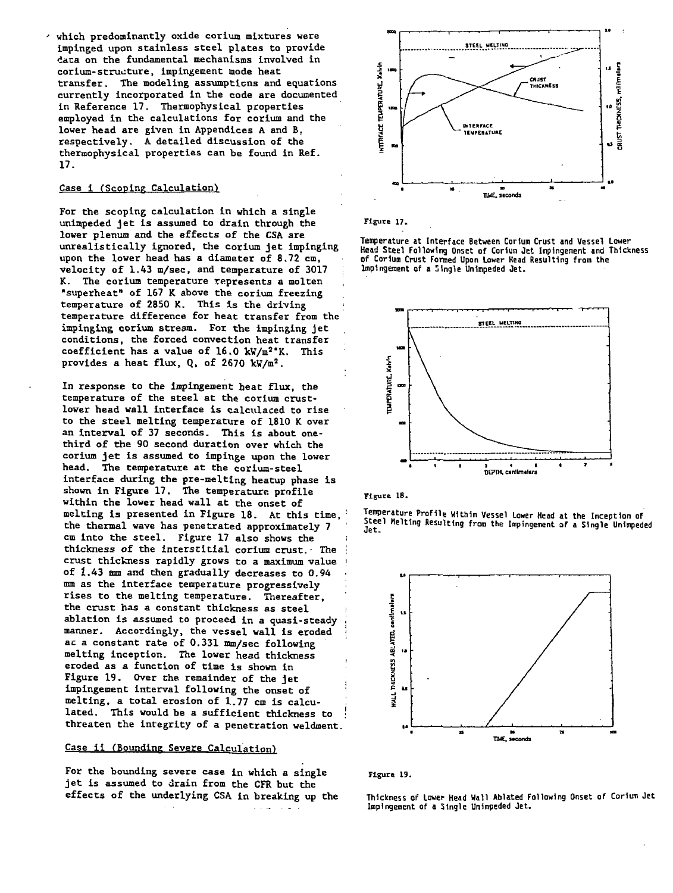**which predominantly oxide corium mixtures were impinged upon stainless steel plates to provide data on the fundamental mechanisms involved in corium-structure, impingement mode heat transfer. The modeling assumptions and equations currently incorporated in the code are documented in Reference 17. Thermophysical properties employed in the calculations for corium and the lower head are given in Appendices A and B, respectively. A detailed discussion of the thermophysical properties can be found in Ref. 17.**

## **Case 1 (Scoping Calculation')**

**For the scoping calculation in which a single unimpeded jet is assumed to drain through the lower plenum and the effects of the CSA are unreallstically ignored, the corium jet impinging upon the lower head has a diameter of 8.72 cm, velocity of 1.43 m/sec, and temperature of 3017 : K. The corium temperature represents a molten "superheat" of 167 K above the corium freezing temperature of 2850 K. This is the driving ; temperature difference for heat transfer from the impinging corium stream. For the impinging jet conditions, the forced convection heat transfer coefficient has a value of 16.0 kW/m<sup>2</sup>\*K. This provides a heat flux, Q, of 2670 kW/m<sup>2</sup>.**

**In response to the impingement heat flux, the temperature of the steel at the corium crustlower head wall interface is calculaced to rise to the steel melting temperature of 1810 K over an interval of 37 seconds. This is about onethird of the 90 second duration over which the corium jet is assumed to impinge upon the lower head. The temperature at the corium-steel interface during the pre-melting heatup phase is shown in Figure 17. The temperature profile within the lower head wall at the onset of melting is presented in Figure 18. At this time, ' the thermal wave has penetrated approximately 7** cm into the steel. Figure 17 also shows the **thickness of the interstitial corium crust.• The • crust thickness rapidly grows to a maximum value | of 1.43 mm and then gradually decreases to 0.94 mm as the interface temperature progressively • rises to the melting temperature. Thereafter, the crust has a constant thickness as steel i ablation is assumed to proceed in a quasi-steady i** manner. Accordingly, the vessel wall is eroded **ac a constant rate of 0.331 mm/sec following melting inception. The lower head thickness eroded as a function of time is shown in Figure 19. Over the remainder of the jet impingement interval following the onset of** melting, a total erosion of 1.77 cm is calcu**lated. This would be a sufficient thickness to ' threaten the integrity of a penetration weldment.**

## **Case il (Bounding Severe Calculation)**

**For the bounding severe case in which a single jet is assumed to drain from the CFR but the effects of the underlying CSA in breaking up the**



**Figure 17.**

**Temperature i t Interface Between Corium Crust and Vessel Lower Head Steel Following Onset of Cortum Jet Impingement and Thickness of Corlun Crust Formed Upon Lower Head Resulting from the Impingement of a 'Ingle Unimpeded Jet.**



**Figure 18.**

**Temperature Profile Within Vessel Lower Head at the Inception of itee i Melting Resulting from the Impingement of a Single Unimpeded Jet.**



**Figure 19.**

**Thickness of Lower Head Hall Ablated Following Onset of Corium Jet Impingement of a Single Unimpeded Jet.**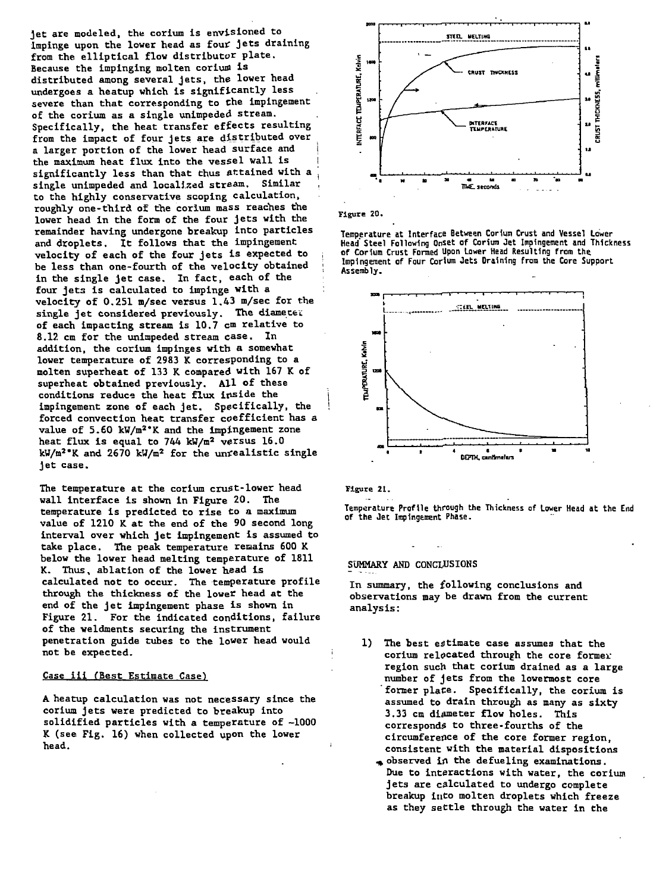**jet are modeled, the corium is envisioned to impinge upon the lower head as four jets draining** from the elliptical flow distributor plate. Because the impinging molten corium is **distributed among several jets, the lower head undergoes a heatup which is significantly less severe than that corresponding to the impingement of the corium as a single unimpeded stream. Specifically, the heat transfer effects resulting from the impact of four jets are distributed over** a larger portion of the lower head surface and the maximum heat flux into the vessel wall is **significantly less than that thus attained with a j single unimpeded and localized stream. Similar to the highly conservative scoping calculation, roughly one-third of the corium mass reaches the lower head in the form of the four jets with the remainder having undergone breakup into particles and droplets. It follows that the impingement velocity of each of the four jets Is expected to ; be less than one-fourth of the velocity obtained ;** in the single jet case. In fact, each of the **four jets is calculated to impinge with a : velocity of 0.251 m/sec versus 1.43 m/sec for the single je t considered previously. The diamecei of each impacting stream is 10.7 cm relative to 8.12 cm for the unimpeded stream case. In addition, the corium impinges with a somewhat lower temperature of 2983 K corresponding to a molten superheat of 133 K compared with 167 K of superheat obtained previously. All of these conditions reduce the heat flux inside the impingement zone of each jet. Specifically, the forced convection heat transfer coefficient has a value of 5.60 kW/m<sup>2</sup> \*K and the impingement zone heat flux is equal to 744 kW/m<sup>2</sup> versus 16.0 kW/m<sup>2</sup> 'K and 2670 kW/m<sup>2</sup> for the unrealistic single jet case.**

**The temperature at the corium crust-lower head wall interface is shown in Figure 20. The temperature is predicted to rise to a maximum value of 1210 K at the end of the 90 second long** interval over which jet impingement is assumed to **take place. The peak temperature remains 600 K below the lower head melting temperature of 1811 K. Thus, ablation of the lower head is calculated not to occur. The temperature profile through the thickness of the lower head at the** end of the jet impingement phase is shown in **Figure 21. For the indicated conditions, failure of the weldments securing the instrument penetration guide tubes to the lower head would not be expected.**

#### Case iii (Best Estimate Case)

**A heatup calculation was not necessary since Che corium jets were predicted to breakup into solidified particles with a temperature of -1000 K (see Fig. 16) when collected upon the lower head.**





**Temperature at Interface Between Corium Crust and Vessel Lower Head'Steel Following Onset of Coriura Jet Impingement and Thickness of Corium Crust Formed Upon Lower Head Resulting from the. Impingement of Four Corium Jets Draining from the Core Support Assembly.**



**Figure 21.**

**Temperature Profile through the Thickness of Lower Head at the End of the Jet Impingement Phase.**

## **SUMMARY AND CONCLUSIONS**

**In summary, the following conclusions and observations may be drawn from the current analysis:**

- **1) The best estimate case assumes that the corium relocated through the core former region such that corium drained as a large number of jets from the lowermost core former place. Specifically, the corium is assumed to drain through as many as sixty 3.33 cm diameter flow holes. This corresponds to three-fourths of the circumference of the core former region, consistent with the material dispositions**
	- **^ observed in the defueling examinations. Due to interactions with water, the corium jets are calculated to undergo complete breakup into molten droplets which freeze as they settle through the water In the**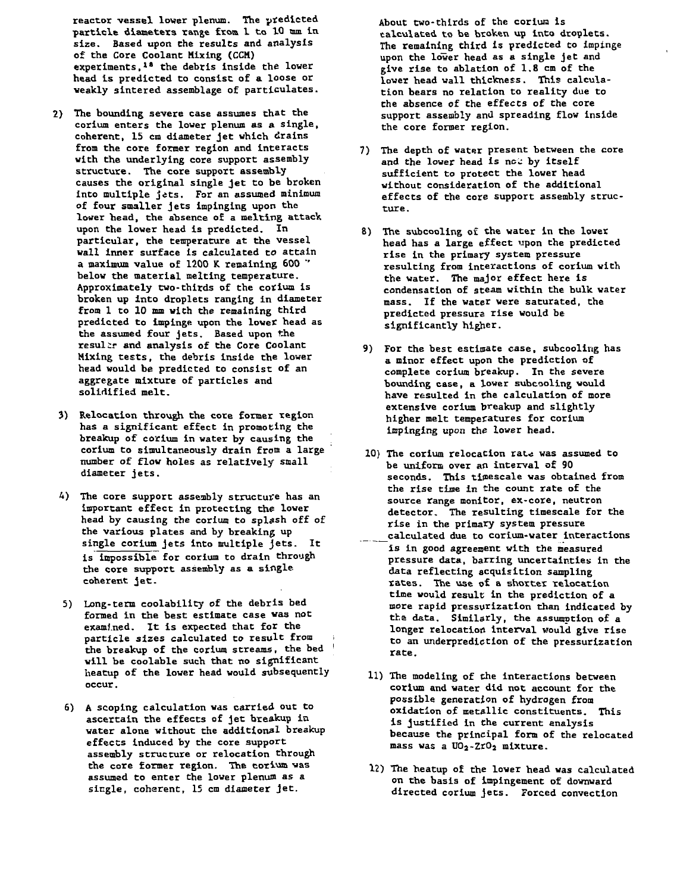**reactor vessel lower plenum. The predicted particle diameters range from 1 to 1Q mm. In size. Based upon the results and analysis of the Core Coolant Mixing (CCH) experiments,<sup>18</sup> the debris inside the lower head is predicted to consist of a loose or weakly sintered assemblage of particulates.**

- **2) The bounding severe case assumes that the corium enters the lower plenum as a single, coherent, 15 cm diameter jet which drains from the core former region and interacts with the underlying core support assembly structure. The core support assembly causes the original single jet to be broken into multiple jets. For an assumed minimum of four smaller jets impinging upon the lower head, the absence of a melting attack upon the lower head is predicted. In particular, the temperature at the vessel wall inner surface is calculated to attain a maximum value of 1200 K remaining 600 "' below the material melting temperature. Approximately two-thirds of the corium is broken up into droplets ranging in diameter from 1 to 10 mm with the remaining third predicted to impinge upon the lower head as the assumed four jets. Based upon the resulir and analysis of the Core Coolant Mixing tests, the debris inside the lower head would be predicted to consist of an aggregate mixture of particles and solidified melt.**
- **3) Relocation through the core former region has a significant effect in promoting the breakup of corium in water by causing the corium to simultaneously drain from a large number of flow holes as relatively small diameter jets.**
- **4) The core support assembly structure has an important effect in protecting the lower head by causing the corium to splash off of the various plates and by breaking up single corium jets into multiple jets. It is impossible for corium to drain through the core support assembly as a single coherent jet.**
- **5) Long-term coolability of the debris bed formed In the best estimate case was not examined. It Is expected that for the particle sizes calculated to result from i the breakup of the corium streams, the bed ! will be coolable such that no significant heatup of the lower head would subsequently occur.**
- **6) A scoping calculation was carried out to ascertain the effects of jet breakup in water alone without the additional breakup effects induced by the core support assembly structure or relocation through** the core former region. The corium was **assumed to enter the lower plenum as a single, coherent, 15 cm diameter jet.**

**About two-thirds of the corium is** ralculated to be broken up into droplets. **The remaining third is predicted to impinge upon the lower head as a single jet and give rise to ablation of 1.8 cm of the lower head wall thickness. This calculation bears no relation to reality due to the absence of the effects of the core support assembly and spreading flow inside the core former region.**

- **7) The depth of water present between the core and the lower head is nou by itself sufficient to protect the lower head without consideration of the additional effects of the core support assembly structure.**
- **8) The subcooling o£ the water in the lower head has a large effect upon the predicted rise in the primary system pressure resulting from Interactions of corium with the water. The major effect here is condensation of steam within the bulk water mass. If the water were saturated, the predicted pressure rise would be significantly higher.**
- **9) For the best estimate case, subcooling has a minor effect upon the prediction of complete corium breakup. In the severe bounding case, a lower subcooling would have resulted in the calculation of more extensive corium breakup and slightly higher melt temperatures for corium impinging upon the lower head.**
- **10) The corium relocation rate was assumed to be uniform over an interval of 90 seconds. This timescale was obtained from the rise time in "he count rate of the source range monitor, ex-core, neutron detector. The resulting timescale for the rise in the primary system pressure calculated due to corium-water interactions**
- **is in good agreement with the measured pressure data, barring uncertainties in the data reflecting acquisition sampling rates. The vise of a shorter relocation time would result in the prediction of a more rapid pressurization than indicated by the data. Similarly, the assumption of a longer relocation interval would give rise to an underpredictlon of the pressurization rate.**
- **11) The modeling of the Interactions between corium and water did not account for the possible generation of hydrogen from oxidation of metallic constituents. This is justified in the current analysis because the principal form of the relocated mass was a U02-Zr0j mixture.**
- **12) The heatup o£ the lower head was calculated on the basis of impingement of downward directed corium jets. Forced convection**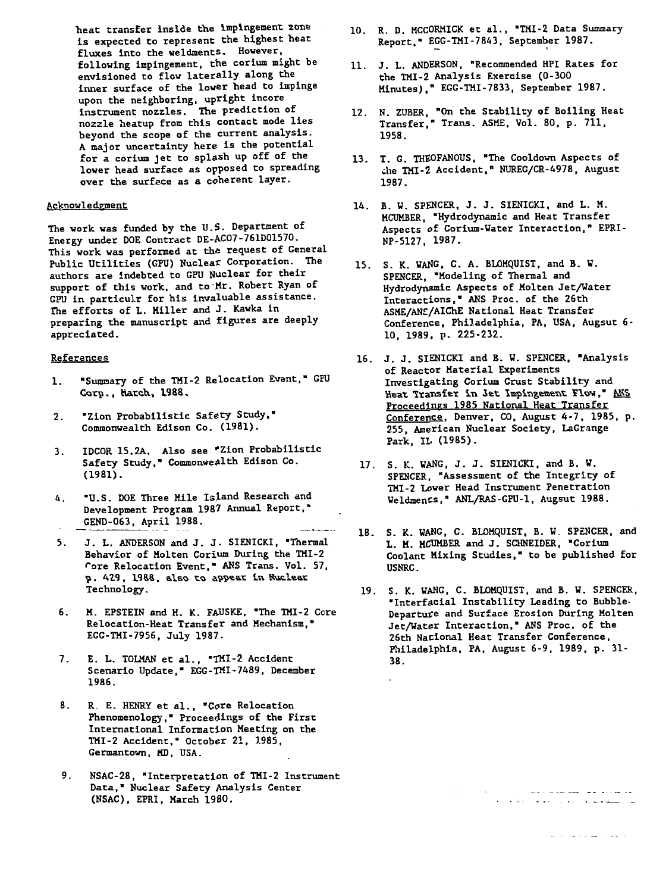**heat transfer Inside the Impingement zone is expected to represent the highest heat fluxes into the weldments. However, following impingement, the corium might be envisioned to flow laterally along the inner surface of the lower head to impinge upon the neighboring, upright incore instrument nozzles. The prediction of nozzle heatup from this contact mode lies beyond the scope of the current analysis. A major uncertainty here is the potential for a corium jet to splash up off of the lower head surface as opposed to spreading over the surface as a coherent layer.**

### **Acknowledgment**

**The work was funded by the U.S. Department of Energy under DOE Contract DE-AC07-761D01570. This work was performed at the request of General Public Utilities (GPU) Nuclear Corporation. The authors are indebted to GPU Nuclear for their support of this work, and to Mr. Robert Ryan of GPU in particulr for his invaluable assistance. The efforts of L. Miller and J. Kawka in preparing the manuscript and figures are deeply appreciated.**

#### **References**

- **1. "Summary of the THI-2 Relocation Event," GEU Coro., hatch., 1988.**
- **2. "Zion Probabilisti c Safety Study," Commonwealth Edison Co. (1981).**
- **3.** IDCOR 15.2A. Also see "Zion Probabilistic **Safety Study," Commonwealth Edison Co. (1981).**
- **4. "U.S. DOE Three Hile Island Research and Development Program 1987 Annual Report," GEND-063, April 1988.**
- **J. L. ANDERSON and J. J. SIENICKI, "Thermal** 5. **Behavior of Hoiten Corium During the TMI-2 Tore Relocation Event," ANS Trans. Vol. 57, p** . 429, 1988, also to appear in Muclear **Technology.**
- **6. M. EPSTEIN and H. K. FAUSKE, "The THI-2 Core Relocation-Heat Transfer and Mechanism," EGG-TMI-7956, July 1987.**
- **7.** E. L. TOLMAN et al., "TMI-2 Accident **Scenario Update," EGG-TMI-7489, December 1986.**
- 8. R. E. HENRY et al., "Core Relocation **Phenomenology," Proceedings of the First International Information Meeting on the TMI-2 Accident," October 21, 1985, Germantown, MD, USA.**
- **9. NSAC-28, "Interpretation of TMI-2 Instrument Data," Nuclear Safety Analysis Center (NSAC), EPRI, March 1980.**
- **10. R. D. MCCORMICK et al., "THI-2 Data Summary Report." EGG-TMI-7843, September 1987.**
- **11. J. L. ANDERSON, "Recommended HPI Rates for the TMI-2 Analysis Exercise (0-300 Minutes)," EGG-TMI-7833, September 1987.**
- **12. N. ZUBER, Transfer,' 1958. "On the Stability of Boiling Heat Trans. ASME, Vol. 80, p. 711,**
- **13. T. G. THEOFANOUS, "The Cooldown Aspects of die TMI-2 Accident," NUREG/CR-4978, August 1987.**
- **14. B. W. SPENCER, J. J. SIENICKI, and L. M. MCUMBER, "Hydrodynamic and Heat Transfer Aspects of Corium-water Interaction," EPRI-NP-5127, 1987.**
- **15. S. K. WAUG, C. A. BLOMQUIST, and B. W. SPENCER, "Modeling of Thermal and Hydrodynamic Aspects of Molten Jet/Water Interactions," ANS Proc. of the 26th ASME/AN£/AIChE National Heat Transfer Conference, Philadelphia, PA, USA, Augsut 6- 10, 1989, p. 225-232.**
- **16. J. J. SIENICKI and B. W. SPENCER, "Analysis of Reactor Material Experiments Investigating Corium Crust Stability and** Heat Transfer in Jet Impingement Flow," ANS Proceedings 1985 National Heat Transfer **Conference. Denver, CO, August 4-7, 1985, p. 255, American Nuclear Society, LaGrange Park, IL (1985).**
- **17. S. K. WANG, J . J. SIENICKI, and B. W.** SPENCER. "Assessment of the Integrity of **THI-2 Lower Head Instrument Penetration Weldmencs," ANL/RAS-GPU-1, Augsut 1988.**
- **18. S. K. WANG, C. BLOHQUIST, B. W. SPENCER, and L. M. MCUMBER and J. SCHNEIDER, "Corium Coolant Mixing Studies," to be published for USNRC.**
- **19. S. K. WANG, C. BLOMQUIST, and B. W. SPENCER,** "Interfacial Instability Leading to Bubble-**Departure and Surface Erosion During Molten Jet/Water Interaction," ANS Proc. of the 26th National Heat Transfer Conference, Philadelphia, PA, August 6-9, 1989, p. 31- 38.**

 $\sim 10^{-1}$ 

وكوالموارث كالمشارك للمستقطع والمتقول والمرادي والمرادي سالمستقلقها والمتعارف والمتحار والمتحاربة

المتحدث المستعادة العامة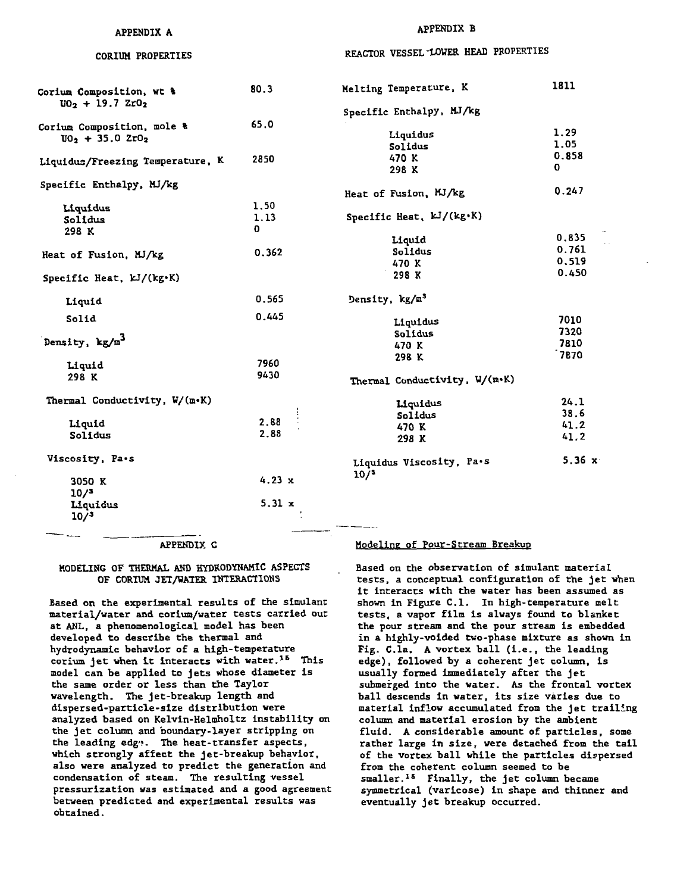# **APPENDIX A CORIUM PROPERTIES**

# **APPENDIX B REACTOR VESSEL"LOWER HEAD PROPERTIES**

| Corium Composition, wt &<br>$UO_2$ + 19.7 ZrO <sub>2</sub> | 80.3          | Melting Temperature, K        | 1811  |
|------------------------------------------------------------|---------------|-------------------------------|-------|
|                                                            |               | Specific Enthalpy, MJ/kg      |       |
| Corium Composition, mole &                                 | 65.0          |                               |       |
| $U_2$ + 35.0 $ZrO_2$                                       |               | Liquidus                      | 1.29  |
|                                                            |               | Solidus                       | 1.05  |
| Liquidus/Freezing Temperature, K                           | 2850          | 470 K                         | 0.858 |
|                                                            |               | 298 K                         | 0     |
| Specific Enthalpy, MJ/kg                                   |               |                               |       |
|                                                            |               | Heat of Fusion, MJ/kg         | 0.247 |
| Liquidus                                                   | 1.50          |                               |       |
| Solidus                                                    | 1.13          | Specific Heat, $kJ/(kg·K)$    |       |
| 298 K                                                      | 0             |                               |       |
|                                                            |               | Liquid                        | 0,835 |
| Heat of Fusion, MJ/kg                                      | 0.362         | Solidus                       | 0.761 |
|                                                            |               | 470 K                         | 0.519 |
| Specific Heat, kJ/(kg.K)                                   |               | 298 K                         | 0.450 |
| Liquid                                                     | 0.565         | Density, kg/m <sup>3</sup>    |       |
|                                                            | 0.445         |                               |       |
| Solid                                                      |               | Liquidus                      | 7010  |
|                                                            |               | Solidus                       | 7320  |
| Density, kg/m <sup>3</sup>                                 |               | 470 K                         | 7810  |
|                                                            | 7960          | 298 K                         | 7870  |
| Liquid                                                     | 9430          |                               |       |
| 298 K                                                      |               | Thermal Conductivity, W/(m.K) |       |
| Thermal Conductivity, W/(m.K)                              |               | Liquidus                      | 24.1  |
|                                                            |               | Solidus                       | 38.6  |
| Liquid                                                     | 2.88          | 470 K                         | 41.2  |
| Solidus                                                    | 2.88          | 298 K                         | 41.2  |
|                                                            |               |                               |       |
| Viscosity, Pa.s                                            |               | Liquidus Viscosity, Pa.s      | 5.36x |
|                                                            |               | 10/3                          |       |
| 3050 K                                                     | 4.23 x        |                               |       |
| 10/3                                                       |               |                               |       |
| Liquidus                                                   | $5.31 \times$ |                               |       |
| 10/3                                                       |               |                               |       |
|                                                            |               |                               |       |

#### **APPENDIX C**

#### **MODELING OF THERMAL AND HYDRODYNAHIC ASPECTS OF CORItM JET/WATER INTE&ACIIOHS**

**Based on the experimental results of the simulant material/water and coriua/water tests carried out at ANL, a phenomenologlcal model has been developed to describe the thermal and hydrodynamic behavior of a high-temperature corium je t vhen it interacts with water.1& This model can be applied to jets whose diameter is the same order or less than the Taylor wavelength. The jet-breakup length and dispersed-particle-size distribution were analyzed based on Kelvln-Helmholtz Instability on the je t column and boundary-layer stripping on the leading edg<>. The heat-transfer aspects, which strongly affect the jet-breakup behavior, also were analyzed to predict the generation and condensation of steam. The resulting vessel pressurlzation was estimated and a good agreement between predicted and experimental results was ohtained.**

#### **Modeling of Pour-Stream Breakup**

**Based on the observation of simulant material** tests, a conceptual configuration of the jet when **it interacts with the water has been assumed as shown In Figure C.I. In high-temperature melt tests, a vapor film is always found to blanket the pour stream and the pour stream is embedded in a highly-voided two-phase mixture as shown in Fig. C.la. A vortex ball (I.e. , the leading** edge), followed by a coherent jet column, is usually formed immediately after the jet **submerged into the water. As the frontal vortex ball descends In water, its size varies due to** material inflow accumulated from the jet trailing **column and material erosion by the ambient fluid. A considerable amount of particles, some rather large in size , were detached from the tail of the vortex ball while the particles dispersed from the coherent column seemed to be smaller.<sup>15</sup> Finally, the je t column became symmetrical (varicose) in shape and thinner and** eventually jet breakup occurred.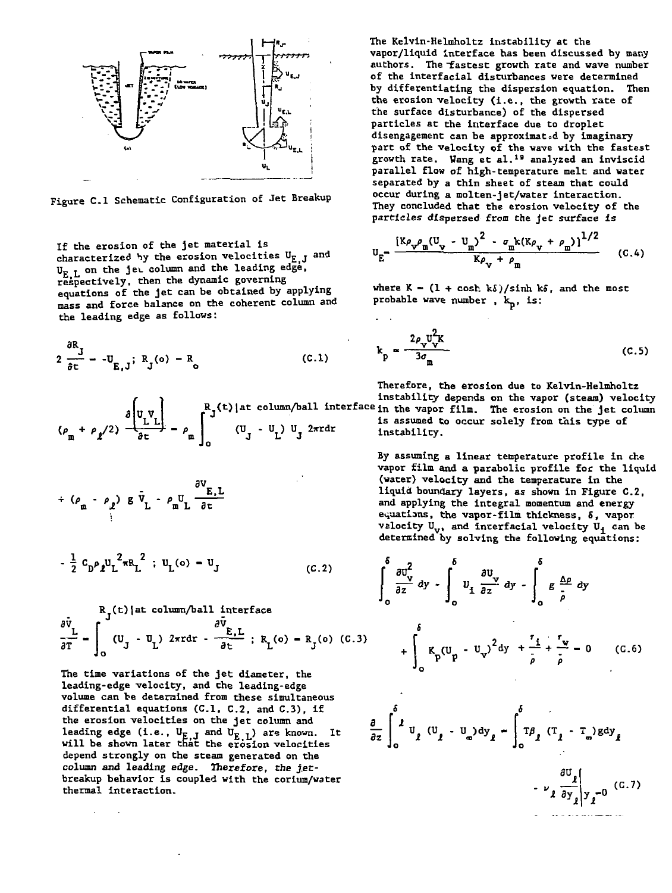

**Figure C.I Schematic Configuration of Jet Breakup**

**If the erosion of the jet material is** characterized by the erosion velocities U<sub>E.J</sub> and **U£ L on the jet column and the leading edge, respectively, then the dynamic governing equations of the jet can be obtained by applying mass and force balance on the coherent column and the leading edge as follows:**

$$
2\frac{\partial R_J}{\partial t} - -U_{E,J}; R_J(o) - R_o \qquad (C.1)
$$

$$
(\rho_{m} + \rho_{\ell}/2) \frac{\partial \begin{bmatrix} v_{L} \\ L & L \end{bmatrix}}{\partial t} - \rho_{m} \int_{0}^{R_{J}(t) \atop \partial t} (U_{J} - U_{L}) U_{J}^{2\pi r dr}
$$

$$
+ (\rho_{\mathfrak{m}} - \rho_{\ell}) g \bar{v}_{L} - \rho_{\mathfrak{m}} U \frac{\partial v_{E,L}}{\partial t}
$$

$$
-\frac{1}{2} c_{D} \rho_{\ell} u_{L}^{2} \pi R_{L}^{2} ; u_{L} (0) - u_{J}
$$
 (c.2)

$$
\frac{\partial \bar{v}_L}{\partial T} = \int_0^R J^{(t)} \left\{ at \ column/ball \text{ interface} \right\}
$$
\n
$$
\frac{\partial \bar{v}_L}{\partial T} = \int_0^R (U_J - U_L) \cdot 2\pi r dr - \frac{\partial \bar{v}_L}{\partial t} \cdot R_L(o) - R_J(o) \quad (C.3)
$$

**The time variations of the jet diameter, the leading-edge velocity, and the leading-edge volume can be determined from these simultaneous differential equations (C.I, C.2, and C.3), if the erosion velocities on the jet column and**  $l$  leading edge (i.e.,  $U_{F-I}$  and  $U_{F-I}$ ) are known. It **will be shown later that the erosion velocities Jo Jo depend strongly on the steam generated on the** column and leading edge. Therefore, the jet**The Kelvin-Helmholtz instability at the vapor/liquid interface has been discussed by many** authors. The fastest growth rate and wave number **of the interfacial disturbances were determined by differentiating the dispersion equation. Then the erosion velocity (i.e., the growth rate of the surface disturbance) of the dispersed particles at the interface due to droplet disengagement can be approximated by imaginary part of the velocity of the wave with the fastest growth rate. Wang et al.<sup>1</sup> <sup>9</sup> analyzed an inviscid parallel flow of high-temperature melt and water separated by a thin sheet of steam that could occur during a molten-jet/water interaction. They concluded that the erosion velocity of the particles dispersed from the Jet surface is**

$$
U_{E} = \frac{\left[ K \rho_{v} \rho_{m} (U_{v} - U_{m})^{2} - \sigma_{m} k (K \rho_{v} + \rho_{m}) \right]^{1/2}}{K \rho_{v} + \rho_{m}}
$$
 (C.4)

where  $K - (1 + \cosh k\delta)/\sinh k\delta$ , and the most probable wave number,  $k_p$ , is:

$$
k_p \approx \frac{2\rho_v v_V^2 K}{3\sigma_m}
$$
 (C.5)

**Therefore, the erosion due to Kelvin-Helmholtz instability depends on the vapor (steam) velocity Rj(t)|at column/ball interfacein th e vapo r film \_ ^j . erosio n o <sup>n</sup> the j <sup>e</sup> <sup>t</sup> column is assumed to occur solely from this type of 25rrd <sup>r</sup> instability.**

> **By assuming a linear temperature profile in die vapor film and a parabolic profile for the liquid (water) velocity and the temperature in the liquid boundary layers, as shown in Figure C.2, and applying the integral momentum and energy equations, the vapor-film thickness, 5, vapor velocity Uv, and interfacial velocity** *V^* **can be determined by solving the following equations:**

$$
\frac{1}{2} C_{D} \rho_{\ell} U_{L}^{2} \pi R_{L}^{2} \text{ ; } U_{L}(0) = U_{J}
$$
\n
$$
\int_{0}^{5} \frac{\partial U_{v}^{2}}{\partial z} dy - \int_{0}^{5} U_{L} \frac{\partial U_{v}}{\partial z} dy - \int_{0}^{5} E \frac{\Delta p}{\rho} dy
$$
\n
$$
\frac{1}{2} \int_{0}^{5} (U_{J} - U_{L})^{2} \pi r dr - \frac{\partial E_{L}}{\partial t} \text{ ; } R_{L}(0) = R_{J}(0) (C.3)
$$
\nThe time variations of the jet diameter, the volume can be determined from these simultaneous  
\n
$$
U_{J} = 0 \text{ with theE
$$
\n
$$
U_{J} = 0 \text{ with the total of the t}
$$
\n
$$
U_{J} = 0 \text{ with the initial velocity, and the t}
$$
\n
$$
U_{J} = 0 \text{ with the velocity}
$$
\n
$$
U_{J} = 0 \text{ with the velocity}
$$
\n
$$
U_{J} = 0 \text{ with the velocity}
$$
\n
$$
U_{J} = 0 \text{ with the velocity}
$$
\n
$$
U_{J} = 0 \text{ with the velocity}
$$
\n
$$
U_{J} = 0 \text{ with the velocity}
$$
\n
$$
U_{J} = 0 \text{ with the velocity}
$$
\n
$$
U_{J} = 0 \text{ with the velocity}
$$
\n
$$
U_{J} = 0 \text{ with the velocity}
$$
\n
$$
U_{J} = 0 \text{ with the velocity}
$$
\n
$$
U_{J} = 0 \text{ with the velocity}
$$
\n
$$
U_{J} = 0 \text{ with the velocity}
$$
\n
$$
U_{J} = 0 \text{ with the velocity}
$$
\n
$$
U_{J} = 0 \text{ with the velocity}
$$
\n
$$
U_{J} = 0 \text{ with the velocity}
$$
\n
$$
U_{J} = 0 \text{ with the velocity}
$$
\n
$$
U_{J} = 0 \text{ with the velocity}
$$
\n
$$
U_{J} = 0 \text{ with the velocity}
$$
\n
$$
U_{J} = 0 \text{ with the velocity}
$$
\n
$$
U_{J} = 0 \text{ with the velocity}
$$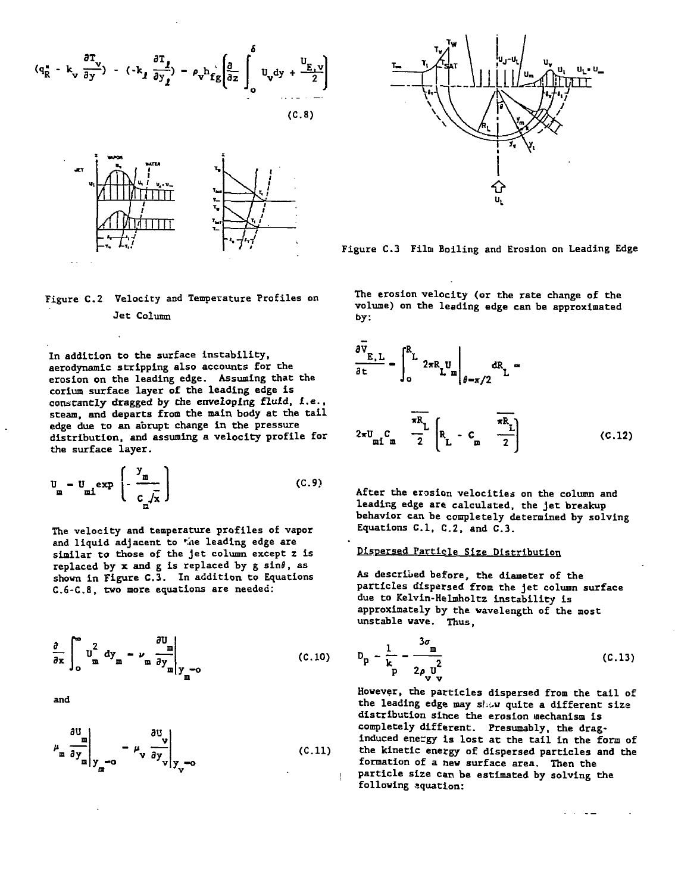$$
(q_R^* - k_v \frac{\partial T_v}{\partial y}) - (-k_f \frac{\partial T_f}{\partial y_1}) - \rho_v h_{fg} \left( \frac{\partial}{\partial z} \int_0^{\delta} U_v dy + \frac{U_{E, v}}{2} \right)
$$





**Figure C.2 Velocity and Temperature Profiles on Jet Column**

**In addition to the surface instability, aerodynamic stripping also accounts for the erosion on the leading edge. Assuming that the corium surface layer of the leading edge is constantly dragged by the enveloping fluid, i.e., steam, and departs from the main body at the tail edge due to an abrupt change in the pressure distribution, and assuming a velocity profile for the surface layer.**

$$
U_{m} = U_{m1} \exp\left(-\frac{y_{m}}{c_{m}/x}\right)
$$
 (C.9)

**The velocity and temperature profiles of vapor** and liquid adjacent to *\*i*ne leading edge are similar to those of the jet column except z is replaced by x and g is replaced by g sin $\theta$ , as **shown in Figure C.3. In addition to Equations C.6-C.8, two more equations are needed:**

$$
\frac{\partial}{\partial x} \int_{0}^{\infty} U_{\frac{\alpha}{m}}^{2} dy_{\frac{\alpha}{m}} - \nu_{\frac{\alpha}{m}} \frac{\partial U_{\frac{\alpha}{m}}}{\partial y_{\frac{\alpha}{m}}|_{y_{\frac{\alpha}{m}}=0}}
$$
 (C.10)

**and**

$$
\mu_{\underline{m}} \frac{\partial U_{\underline{m}}}{\partial y_{\underline{m}}} \bigg|_{y_{\underline{m}}=0} - \mu_{\underline{v}} \frac{\partial U_{\underline{v}}}{\partial y_{\underline{v}}} \bigg|_{y_{\underline{v}}=0}
$$
 (C.11)



**Figure C.3 Film Boiling and Erosion on Leading Edge**

**The erosion velocity (or the rate change of the volume) on the leading edge can be approximated by:**

$$
\frac{\partial \bar{v}_{E,L}}{\partial t} - \int_0^{R_L} 2\pi R_L u_m \bigg|_{\theta = \pi/2} dR_L =
$$

$$
2\pi U_{\text{m1 m}} C_{\text{m}} \frac{\pi R_{\text{L}}}{2} \left[ R_{\text{L}} \cdot C_{\text{m}} \frac{\pi R_{\text{L}}}{2} \right] \tag{C.12}
$$

**After the erosion velocities on the column and leading edge are calculated, the jet breakup behavior can be completely determined by solving Equations C.I, C.2, and C.3.**

## **Dispersed Particle Size Distribution**

**As described before, the diameter of the particles dispersed from the jet column surface due to Kelvin-Helmholtz instability is approximately by the wavelength of the most unstable wave. Thus,**

$$
D_p - \frac{1}{k_p} - \frac{3\sigma_m}{2\rho_v v_v^2}
$$
 (C.13)

**However, the particles dispersed from the tail of the leading edge nay shew quite a different size distribution since the erosion mechanism is completely different. Presumably, the draginduced energy Is lost at the tail in the form of the kinetic energy of dispersed particles and the formation of a new surface area. Then the particle size can be estimated by solving the following equation:**